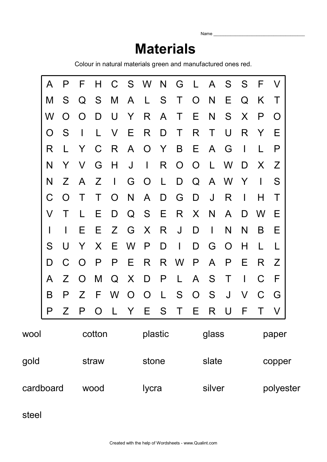Name $\_$ 

## **Materials**

Colour in natural materials green and manufactured ones red.

|           | A      | P            | F              | H            |                |                | C S W N        |              | G              | L A            |              | S S            |                | -F                       | $\mathcal{N}$ |  |  |
|-----------|--------|--------------|----------------|--------------|----------------|----------------|----------------|--------------|----------------|----------------|--------------|----------------|----------------|--------------------------|---------------|--|--|
|           | M      | S            | Q              | S.           | M              | $\mathsf{A}$   | L S            |              | $\top$         | $\overline{O}$ | N            | Е              | Q              | K                        | Τ             |  |  |
|           | W      | $\Omega$     | $\Omega$       | D            | U              | Y              | R              | $\mathsf{A}$ | $\top$         | Е              | N            | S              | X              | P                        | $\bigcap$     |  |  |
|           | O      | S            | $\perp$        | L.           | $\vee$         | E              | R              | D            | $\top$         | R              | $\top$       | U              | R              | Y                        | Е             |  |  |
|           | R      | L            | Y              | $\mathcal C$ | -R             | $\mathsf{A}$   | $\overline{O}$ | <b>Y</b>     | B              | E.             | $\mathsf{A}$ | G              | $\perp$        |                          | P             |  |  |
|           | N      | Y            | V              | G            | H              | $\bigcup$      | $\perp$        | R            | $\overline{O}$ | $\overline{O}$ | $\perp$      | W              | D              | X                        | Z             |  |  |
|           | N      | Z            | A              | Z            | $\perp$        | G              | $\overline{O}$ | $\perp$      | D              | Q              | $\mathsf{A}$ | W              | $\mathsf{Y}$   | $\overline{\phantom{a}}$ | S             |  |  |
|           | C      | $\Omega$     | T              | T            | $\overline{O}$ | N              | $\mathsf{A}$   | D            | G              | D              | J            | R              | I.             | Н                        | Τ             |  |  |
|           | V      | T            | L              | E.           | D              | Q              | S              | - E          | R              | $\sf X$        | N            | A              | D              | W                        | Е             |  |  |
|           |        | $\mathsf{l}$ | Е              | E.           | Z              | G              | $\mathsf{X}$   | R            | J              | D              | $\mathbf{I}$ | N              | N              | B                        | Е             |  |  |
|           | S      | U            | Y              | X            | E              | W              | $\mathsf{P}$   | D            | $\mathbf{I}$   | D              | G            | $\overline{O}$ | H              | L                        |               |  |  |
|           | D      | C            | $\overline{O}$ | P            | P              | E              | R.             |              | R W            | P              | $\mathsf{A}$ | P              | Ε              | R.                       | Z             |  |  |
|           | A      | Z            | $\Omega$       | M            | Q              | $\mathsf{X}$   | D              | P            | $\mathsf{L}$   | $\mathsf{A}$   | S            | $\top$         | $\overline{1}$ | C                        | F             |  |  |
|           | B      | P            | Z              | - F          | W              | $\overline{O}$ | $\overline{O}$ | $\mathsf{L}$ | S              | $\overline{O}$ | S            | $\bigcup$      | V              | C                        | G             |  |  |
|           | P      | Z            | P              | $\Omega$     | L              | Y              | Ε              | S            | $\top$         | Ε              | R            | U              | F              | Τ                        |               |  |  |
| wool      | cotton |              |                |              |                | plastic        |                |              |                | glass          |              |                |                | paper                    |               |  |  |
| gold      |        |              | straw          |              |                |                | stone          |              |                |                | slate        |                |                | copper                   |               |  |  |
| cardboard |        |              | wood           |              |                |                | lycra          |              |                |                | silver       |                |                |                          | polyester     |  |  |

steel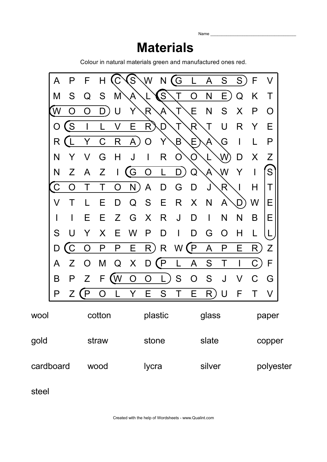## **Materials**

Name

Colour in natural materials green and manufactured ones red.



steel

Created with the help of Wordsheets - www.Qualint.com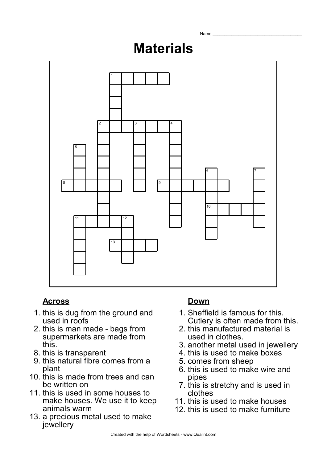# **Materials**

Name



### **Across Down**

- 1. this is dug from the ground and used in roofs
- 2. this is man made bags from supermarkets are made from this.
- 8. this is transparent
- 9. this natural fibre comes from a plant
- 10. this is made from trees and can be written on
- 11. this is used in some houses to make houses. We use it to keep animals warm
- 13. a precious metal used to make jewellery

- 1. Sheffield is famous for this. Cutlery is often made from this.
- 2. this manufactured material is used in clothes.
- 3. another metal used in jewellery
- 4. this is used to make boxes
- 5. comes from sheep
- 6. this is used to make wire and pipes
- 7. this is stretchy and is used in clothes
- 11. this is used to make houses
- 12. this is used to make furniture